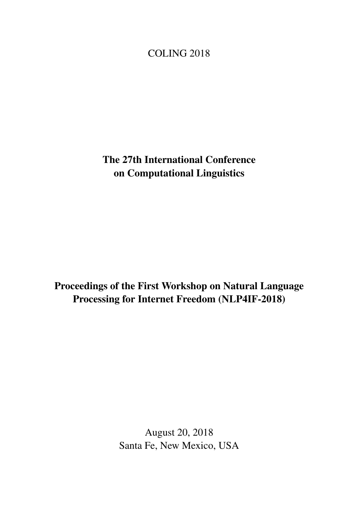# <span id="page-0-0"></span>COLING 2018

The 27th International Conference on Computational Linguistics

Proceedings of the First Workshop on Natural Language Processing for Internet Freedom (NLP4IF-2018)

> August 20, 2018 Santa Fe, New Mexico, USA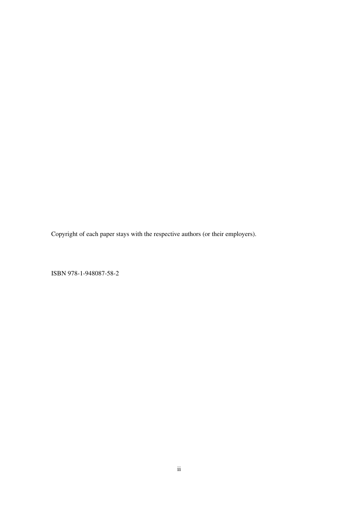Copyright of each paper stays with the respective authors (or their employers).

ISBN 978-1-948087-58-2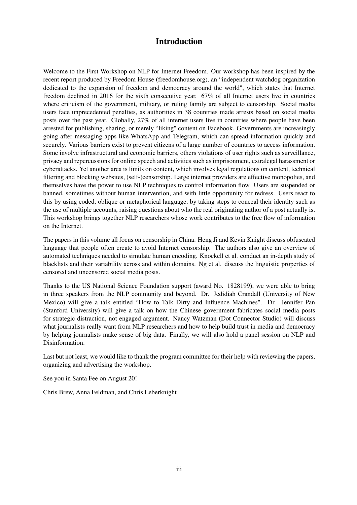### Introduction

Welcome to the First Workshop on NLP for Internet Freedom. Our workshop has been inspired by the recent report produced by Freedom House (freedomhouse.org), an "independent watchdog organization dedicated to the expansion of freedom and democracy around the world", which states that Internet freedom declined in 2016 for the sixth consecutive year. 67% of all Internet users live in countries where criticism of the government, military, or ruling family are subject to censorship. Social media users face unprecedented penalties, as authorities in 38 countries made arrests based on social media posts over the past year. Globally, 27% of all internet users live in countries where people have been arrested for publishing, sharing, or merely "liking" content on Facebook. Governments are increasingly going after messaging apps like WhatsApp and Telegram, which can spread information quickly and securely. Various barriers exist to prevent citizens of a large number of countries to access information. Some involve infrastructural and economic barriers, others violations of user rights such as surveillance, privacy and repercussions for online speech and activities such as imprisonment, extralegal harassment or cyberattacks. Yet another area is limits on content, which involves legal regulations on content, technical filtering and blocking websites, (self-)censorship. Large internet providers are effective monopolies, and themselves have the power to use NLP techniques to control information flow. Users are suspended or banned, sometimes without human intervention, and with little opportunity for redress. Users react to this by using coded, oblique or metaphorical language, by taking steps to conceal their identity such as the use of multiple accounts, raising questions about who the real originating author of a post actually is. This workshop brings together NLP researchers whose work contributes to the free flow of information on the Internet.

The papers in this volume all focus on censorship in China. Heng Ji and Kevin Knight discuss obfuscated language that people often create to avoid Internet censorship. The authors also give an overview of automated techniques needed to simulate human encoding. Knockell et al. conduct an in-depth study of blacklists and their variability across and within domains. Ng et al. discuss the linguistic properties of censored and uncensored social media posts.

Thanks to the US National Science Foundation support (award No. 1828199), we were able to bring in three speakers from the NLP community and beyond. Dr. Jedidiah Crandall (University of New Mexico) will give a talk entitled "How to Talk Dirty and Influence Machines". Dr. Jennifer Pan (Stanford University) will give a talk on how the Chinese government fabricates social media posts for strategic distraction, not engaged argument. Nancy Watzman (Dot Connector Studio) will discuss what journalists really want from NLP researchers and how to help build trust in media and democracy by helping journalists make sense of big data. Finally, we will also hold a panel session on NLP and Disinformation.

Last but not least, we would like to thank the program committee for their help with reviewing the papers, organizing and advertising the workshop.

See you in Santa Fee on August 20!

Chris Brew, Anna Feldman, and Chris Leberknight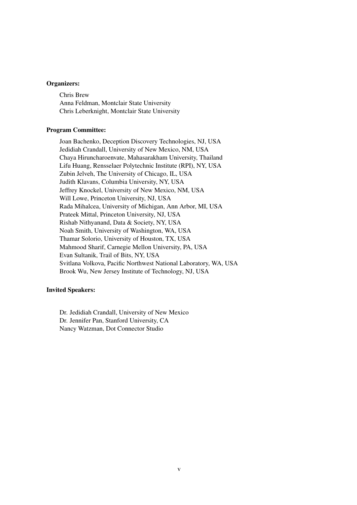#### Organizers:

Chris Brew Anna Feldman, Montclair State University Chris Leberknight, Montclair State University

#### Program Committee:

Joan Bachenko, Deception Discovery Technologies, NJ, USA Jedidiah Crandall, University of New Mexico, NM, USA Chaya Hiruncharoenvate, Mahasarakham University, Thailand Lifu Huang, Rensselaer Polytechnic Institute (RPI), NY, USA Zubin Jelveh, The University of Chicago, IL, USA Judith Klavans, Columbia University, NY, USA Jeffrey Knockel, University of New Mexico, NM, USA Will Lowe, Princeton University, NJ, USA Rada Mihalcea, University of Michigan, Ann Arbor, MI, USA Prateek Mittal, Princeton University, NJ, USA Rishab Nithyanand, Data & Society, NY, USA Noah Smith, University of Washington, WA, USA Thamar Solorio, University of Houston, TX, USA Mahmood Sharif, Carnegie Mellon University, PA, USA Evan Sultanik, Trail of Bits, NY, USA Svitlana Volkova, Pacific Northwest National Laboratory, WA, USA Brook Wu, New Jersey Institute of Technology, NJ, USA

#### Invited Speakers:

Dr. Jedidiah Crandall, University of New Mexico Dr. Jennifer Pan, Stanford University, CA Nancy Watzman, Dot Connector Studio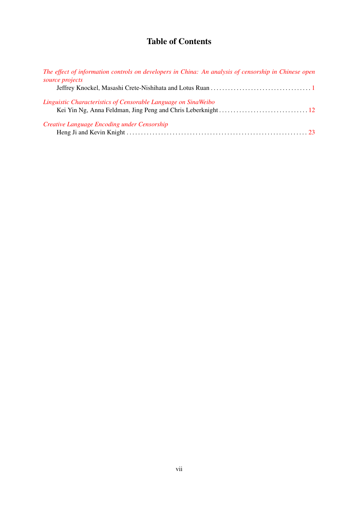## Table of Contents

| The effect of information controls on developers in China: An analysis of censorship in Chinese open |  |
|------------------------------------------------------------------------------------------------------|--|
| source projects                                                                                      |  |
|                                                                                                      |  |
| Linguistic Characteristics of Censorable Language on SinaWeibo                                       |  |
|                                                                                                      |  |
| Creative Language Encoding under Censorship                                                          |  |
|                                                                                                      |  |